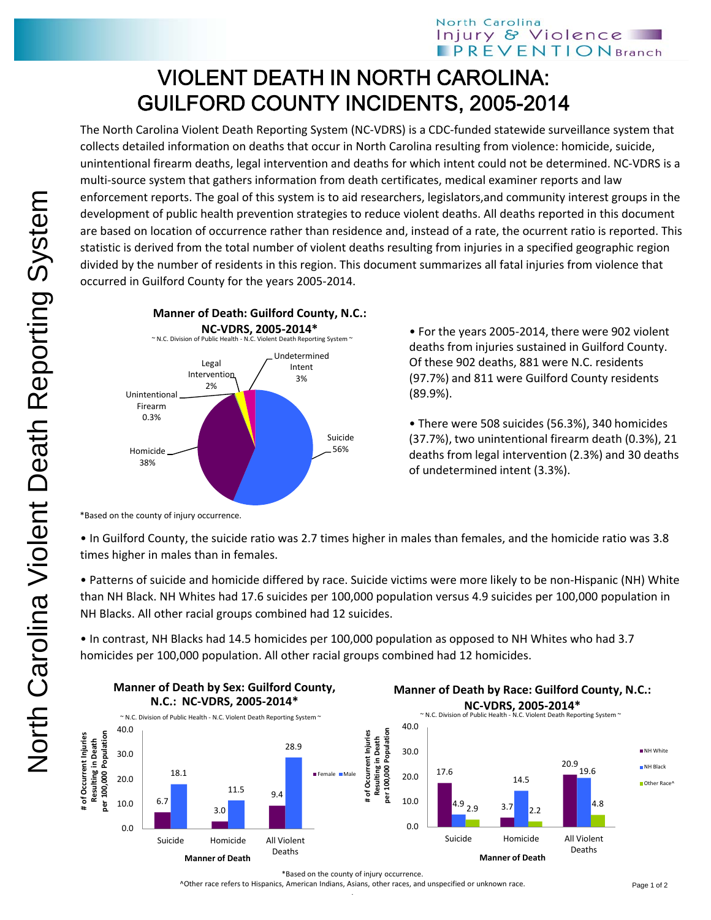## VIOLENT DEATH IN NORTH CAROLINA: GUILFORD COUNTY INCIDENTS, 2005-2014

The North Carolina Violent Death Reporting System (NC‐VDRS) is a CDC‐funded statewide surveillance system that collects detailed information on deaths that occur in North Carolina resulting from violence: homicide, suicide, unintentional firearm deaths, legal intervention and deaths for which intent could not be determined. NC‐VDRS is a multi-source system that gathers information from death certificates, medical examiner reports and law enforcement reports. The goal of this system is to aid researchers, legislators,and community interest groups in the development of public health prevention strategies to reduce violent deaths. All deaths reported in this document are based on location of occurrence rather than residence and, instead of a rate, the ocurrent ratio is reported. This statistic is derived from the total number of violent deaths resulting from injuries in a specified geographic region divided by the number of residents in this region. This document summarizes all fatal injuries from violence that occurred in Guilford County for the years 2005‐2014.



• For the years 2005‐2014, there were 902 violent deaths from injuries sustained in Guilford County. Of these 902 deaths, 881 were N.C. residents (97.7%) and 811 were Guilford County residents (89.9%).

• There were 508 suicides (56.3%), 340 homicides (37.7%), two unintentional firearm death (0.3%), 21 deaths from legal intervention (2.3%) and 30 deaths of undetermined intent (3.3%).

\*Based on the county of injury occurrence.

• In Guilford County, the suicide ratio was 2.7 times higher in males than females, and the homicide ratio was 3.8 times higher in males than in females.

• Patterns of suicide and homicide differed by race. Suicide victims were more likely to be non‐Hispanic (NH) White than NH Black. NH Whites had 17.6 suicides per 100,000 population versus 4.9 suicides per 100,000 population in NH Blacks. All other racial groups combined had 12 suicides.

• In contrast, NH Blacks had 14.5 homicides per 100,000 population as opposed to NH Whites who had 3.7 homicides per 100,000 population. All other racial groups combined had 12 homicides.



^Other race refers to Hispanics, American Indians, Asians, other races, and unspecified or unknown race.